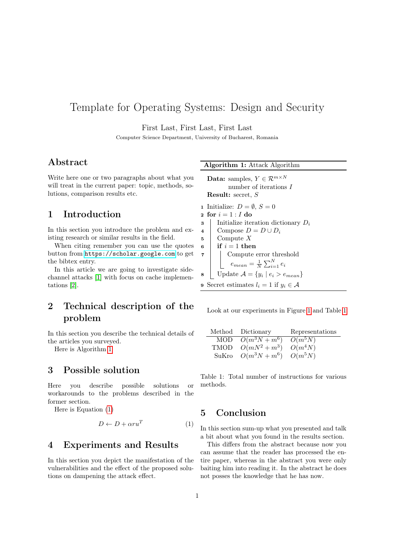# Template for Operating Systems: Design and Security

First Last, First Last, First Last

Computer Science Department, University of Bucharest, Romania

#### Abstract

Write here one or two paragraphs about what you will treat in the current paper: topic, methods, solutions, comparison results etc.

### 1 Introduction

In this section you introduce the problem and existing research or similar results in the field.

When citing remember you can use the quotes button from <https://scholar.google.com> to get the bibtex entry.

In this article we are going to investigate sidechannel attacks [\[1\]](#page-1-0) with focus on cache implementations [\[2\]](#page-1-1).

## 2 Technical description of the problem

In this section you describe the technical details of the articles you surveyed.

Here is Algorithm [1](#page-0-0)

#### 3 Possible solution

Here you describe possible solutions or workarounds to the problems described in the former section.

Here is Equation [\(1\)](#page-0-1)

<span id="page-0-1"></span>
$$
D \leftarrow D + \alpha r u^T \tag{1}
$$

#### 4 Experiments and Results

In this section you depict the manifestation of the vulnerabilities and the effect of the proposed solutions on dampening the attack effect.

Algorithm 1: Attack Algorithm

<span id="page-0-0"></span>**Data:** samples,  $Y \in \mathbb{R}^{m \times N}$ number of iterations I Result: secret, S

1 Initialize:  $D = \emptyset$ ,  $S = 0$ 

- 2 for  $i = 1 : I$  do
- $\mathbf{3}$  | Initialize iteration dictionary  $D_i$
- 4 Compose  $D = D \cup D_i$
- <sup>5</sup> Compute X
- $\mathbf{6}$  if  $i = 1$  then
- <sup>7</sup> Compute error threshold  $e_{mean} = \frac{1}{N} \sum_{i=1}^{N} e_i$
- 8 | Update  $A = \{y_i \mid e_i > e_{mean}\}\$

9 Secret estimates  $l_i = 1$  if  $y_i \in \mathcal{A}$ 

Look at our experiments in Figure [1](#page-1-2) and Table [1](#page-0-2)

| Method Dictionary     | Representations |
|-----------------------|-----------------|
| MOD $O(m^3N + m^6)$   | $O(m^5N)$       |
| TMOD $O(mN^2 + m^3)$  | $O(m^4N)$       |
| SuKro $O(m^3N + m^6)$ | $O(m^5N)$       |

<span id="page-0-2"></span>Table 1: Total number of instructions for various methods.

#### 5 Conclusion

In this section sum-up what you presented and talk a bit about what you found in the results section.

This differs from the abstract because now you can assume that the reader has processed the entire paper, whereas in the abstract you were only baiting him into reading it. In the abstract he does not posses the knowledge that he has now.